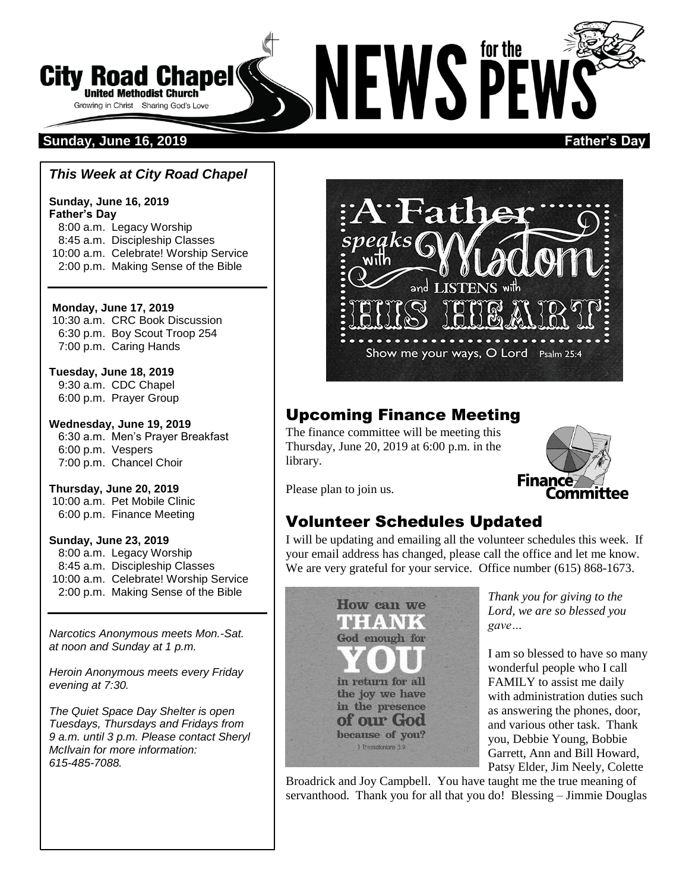

# **Sunday, June 16, 2019 Father's Day**

#### *This Week at City Road Chapel*

**Sunday, June 16, 2019 Father's Day** 8:00 a.m. Legacy Worship 8:45 a.m. Discipleship Classes 10:00 a.m. Celebrate! Worship Service 2:00 p.m. Making Sense of the Bible

**Monday, June 17, 2019** 10:30 a.m. CRC Book Discussion 6:30 p.m. Boy Scout Troop 254 7:00 p.m. Caring Hands

**Tuesday, June 18, 2019** 9:30 a.m. CDC Chapel 6:00 p.m. Prayer Group

**Wednesday, June 19, 2019** 6:30 a.m. Men's Prayer Breakfast 6:00 p.m. Vespers 7:00 p.m. Chancel Choir

**Thursday, June 20, 2019** 10:00 a.m. Pet Mobile Clinic 6:00 p.m. Finance Meeting

**Sunday, June 23, 2019**

8:00 a.m. Legacy Worship 8:45 a.m. Discipleship Classes 10:00 a.m. Celebrate! Worship Service 2:00 p.m. Making Sense of the Bible

*Narcotics Anonymous meets Mon.-Sat. at noon and Sunday at 1 p.m.*

*Heroin Anonymous meets every Friday evening at 7:30.*

*The Quiet Space Day Shelter is open Tuesdays, Thursdays and Fridays from 9 a.m. until 3 p.m. Please contact Sheryl McIlvain for more information: 615-485-7088.* 



# Upcoming Finance Meeting

The finance committee will be meeting this Thursday, June 20, 2019 at 6:00 p.m. in the library.



Please plan to join us.

# Volunteer Schedules Updated

I will be updating and emailing all the volunteer schedules this week. If your email address has changed, please call the office and let me know. We are very grateful for your service. Office number (615) 868-1673.



*Thank you for giving to the Lord, we are so blessed you gave…*

I am so blessed to have so many wonderful people who I call FAMILY to assist me daily with administration duties such as answering the phones, door, and various other task. Thank you, Debbie Young, Bobbie Garrett, Ann and Bill Howard, Patsy Elder, Jim Neely, Colette

Broadrick and Joy Campbell. You have taught me the true meaning of servanthood. Thank you for all that you do! Blessing – Jimmie Douglas